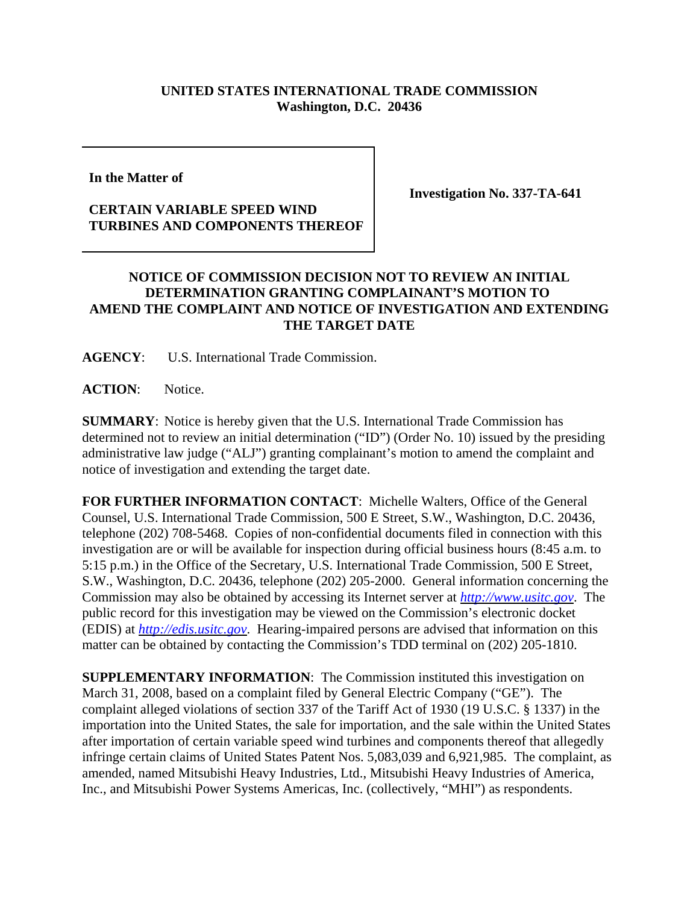## **UNITED STATES INTERNATIONAL TRADE COMMISSION Washington, D.C. 20436**

**In the Matter of** 

## **CERTAIN VARIABLE SPEED WIND TURBINES AND COMPONENTS THEREOF**

**Investigation No. 337-TA-641**

## **NOTICE OF COMMISSION DECISION NOT TO REVIEW AN INITIAL DETERMINATION GRANTING COMPLAINANT'S MOTION TO AMEND THE COMPLAINT AND NOTICE OF INVESTIGATION AND EXTENDING THE TARGET DATE**

**AGENCY**: U.S. International Trade Commission.

**ACTION**: Notice.

**SUMMARY**: Notice is hereby given that the U.S. International Trade Commission has determined not to review an initial determination ("ID") (Order No. 10) issued by the presiding administrative law judge ("ALJ") granting complainant's motion to amend the complaint and notice of investigation and extending the target date.

**FOR FURTHER INFORMATION CONTACT**: Michelle Walters, Office of the General Counsel, U.S. International Trade Commission, 500 E Street, S.W., Washington, D.C. 20436, telephone (202) 708-5468. Copies of non-confidential documents filed in connection with this investigation are or will be available for inspection during official business hours (8:45 a.m. to 5:15 p.m.) in the Office of the Secretary, U.S. International Trade Commission, 500 E Street, S.W., Washington, D.C. 20436, telephone (202) 205-2000. General information concerning the Commission may also be obtained by accessing its Internet server at *http://www.usitc.gov*. The public record for this investigation may be viewed on the Commission's electronic docket (EDIS) at *http://edis.usitc.gov*. Hearing-impaired persons are advised that information on this matter can be obtained by contacting the Commission's TDD terminal on (202) 205-1810.

**SUPPLEMENTARY INFORMATION:** The Commission instituted this investigation on March 31, 2008, based on a complaint filed by General Electric Company ("GE"). The complaint alleged violations of section 337 of the Tariff Act of 1930 (19 U.S.C. § 1337) in the importation into the United States, the sale for importation, and the sale within the United States after importation of certain variable speed wind turbines and components thereof that allegedly infringe certain claims of United States Patent Nos. 5,083,039 and 6,921,985. The complaint, as amended, named Mitsubishi Heavy Industries, Ltd., Mitsubishi Heavy Industries of America, Inc., and Mitsubishi Power Systems Americas, Inc. (collectively, "MHI") as respondents.